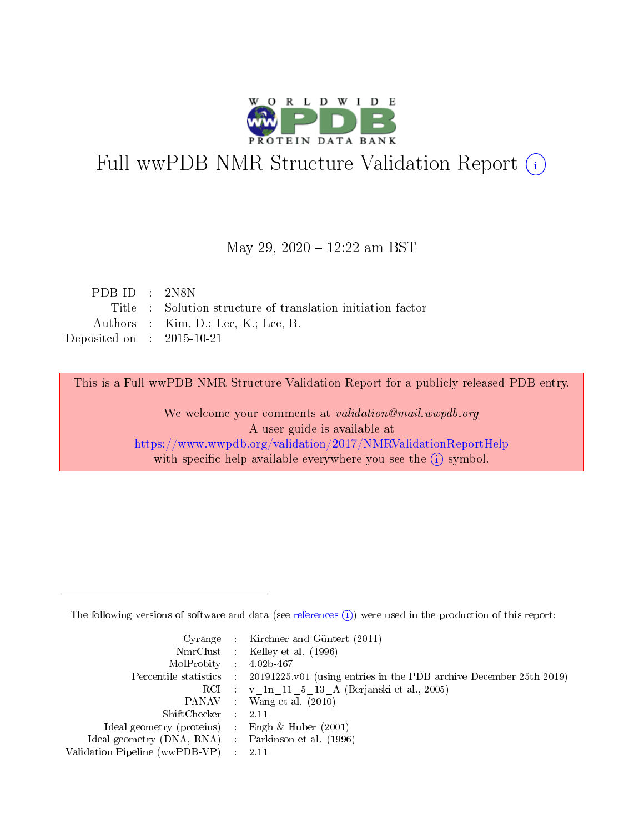

# Full wwPDB NMR Structure Validation Report (i)

#### May 29, 2020 - 12:22 am BST

| PDB ID : $2N8N$                      |                                                             |
|--------------------------------------|-------------------------------------------------------------|
|                                      | Title : Solution structure of translation initiation factor |
|                                      | Authors : $Kim, D.; Lee, K.; Lee, B.$                       |
| Deposited on $\therefore$ 2015-10-21 |                                                             |

This is a Full wwPDB NMR Structure Validation Report for a publicly released PDB entry.

We welcome your comments at *validation@mail.wwpdb.org* A user guide is available at <https://www.wwpdb.org/validation/2017/NMRValidationReportHelp> with specific help available everywhere you see the  $(i)$  symbol.

The following versions of software and data (see [references](https://www.wwpdb.org/validation/2017/NMRValidationReportHelp#references)  $(1)$ ) were used in the production of this report:

|                                                     | Cyrange : Kirchner and Güntert $(2011)$                                                    |
|-----------------------------------------------------|--------------------------------------------------------------------------------------------|
|                                                     | NmrClust : Kelley et al. (1996)                                                            |
| $MolProbability$ 4.02b-467                          |                                                                                            |
|                                                     | Percentile statistics : 20191225.v01 (using entries in the PDB archive December 25th 2019) |
|                                                     | RCI : v 1n 11 5 13 A (Berjanski et al., 2005)                                              |
|                                                     | PANAV Wang et al. (2010)                                                                   |
| $ShiftChecker$ 2.11                                 |                                                                                            |
| Ideal geometry (proteins) : Engh $\&$ Huber (2001)  |                                                                                            |
| Ideal geometry (DNA, RNA) : Parkinson et al. (1996) |                                                                                            |
| Validation Pipeline (wwPDB-VP)                      | $\sim 2.11$                                                                                |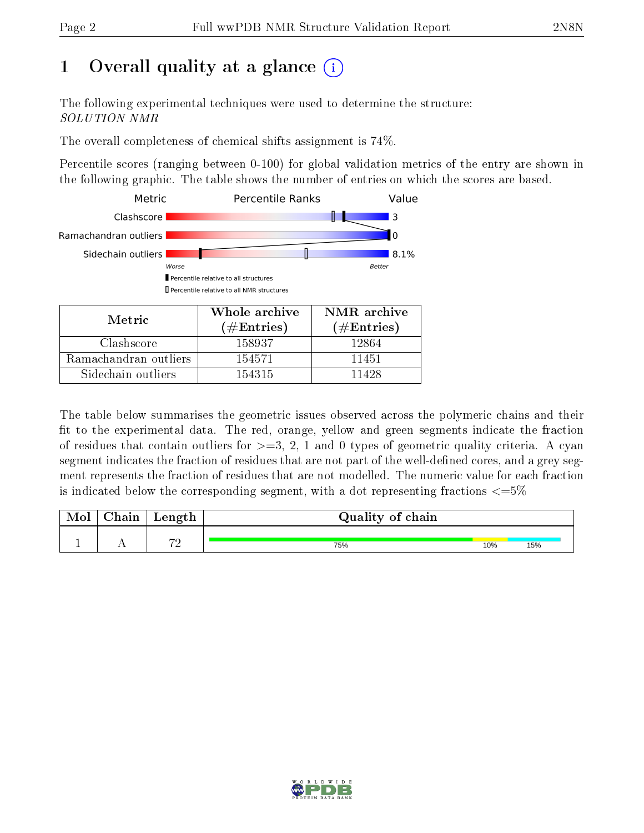# 1 [O](https://www.wwpdb.org/validation/2017/NMRValidationReportHelp#overall_quality)verall quality at a glance (i)

The following experimental techniques were used to determine the structure: SOLUTION NMR

The overall completeness of chemical shifts assignment is 74%.

Percentile scores (ranging between 0-100) for global validation metrics of the entry are shown in the following graphic. The table shows the number of entries on which the scores are based.



Sidechain outliers  $\vert$  154315 11428

The table below summarises the geometric issues observed across the polymeric chains and their fit to the experimental data. The red, orange, yellow and green segments indicate the fraction of residues that contain outliers for  $>=3, 2, 1$  and 0 types of geometric quality criteria. A cyan segment indicates the fraction of residues that are not part of the well-defined cores, and a grey segment represents the fraction of residues that are not modelled. The numeric value for each fraction is indicated below the corresponding segment, with a dot representing fractions  $\epsilon = 5\%$ 

| ${\rm Chain}$ | Length              | Quality of chain |     |     |
|---------------|---------------------|------------------|-----|-----|
|               |                     |                  |     |     |
|               | $\neg$ $\cap$<br>-- | 75%              | 10% | 15% |

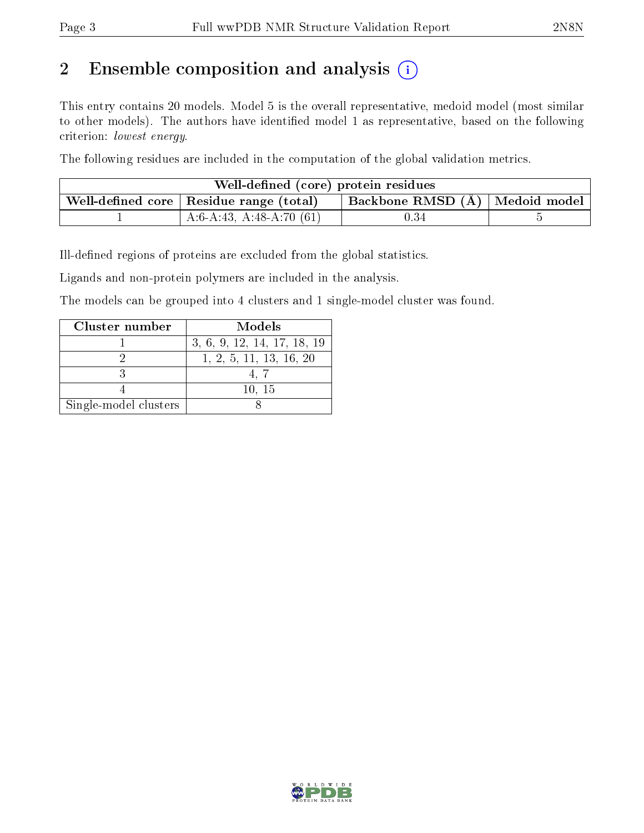# 2 Ensemble composition and analysis  $(i)$

This entry contains 20 models. Model 5 is the overall representative, medoid model (most similar to other models). The authors have identified model 1 as representative, based on the following criterion: lowest energy.

The following residues are included in the computation of the global validation metrics.

| Well-defined (core) protein residues |                                                |                                  |  |  |  |
|--------------------------------------|------------------------------------------------|----------------------------------|--|--|--|
|                                      | Well-defined core $\mid$ Residue range (total) | Backbone RMSD (Å)   Medoid model |  |  |  |
|                                      | $A:6-A:43, A:48-A:70(61)$                      | 0.34                             |  |  |  |

Ill-defined regions of proteins are excluded from the global statistics.

Ligands and non-protein polymers are included in the analysis.

The models can be grouped into 4 clusters and 1 single-model cluster was found.

| Cluster number        | Models                      |
|-----------------------|-----------------------------|
|                       | 3, 6, 9, 12, 14, 17, 18, 19 |
|                       | 1, 2, 5, 11, 13, 16, 20     |
|                       |                             |
|                       | 10, 15                      |
| Single-model clusters |                             |

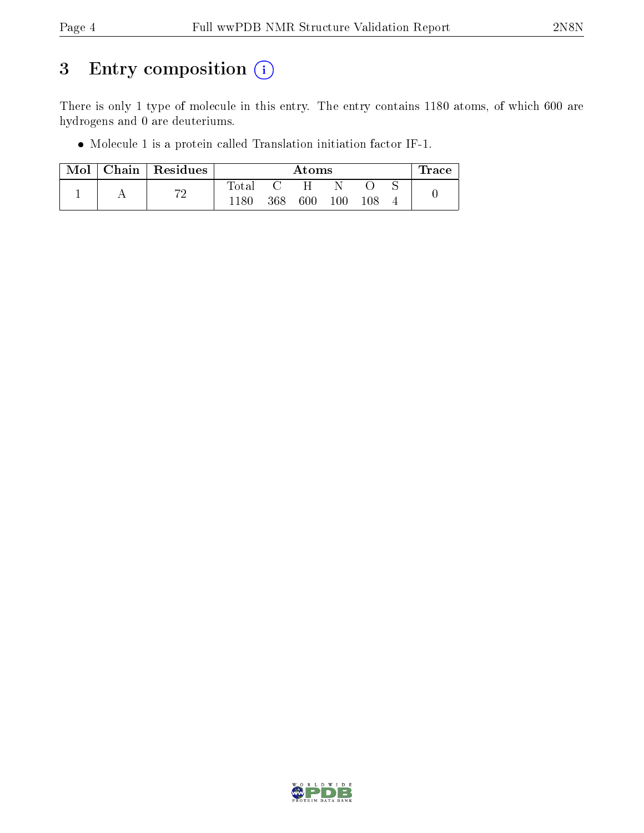# 3 Entry composition (i)

There is only 1 type of molecule in this entry. The entry contains 1180 atoms, of which 600 are hydrogens and 0 are deuteriums.

Molecule 1 is a protein called Translation initiation factor IF-1.

| Mol |    | Chain   Residues | Atoms |     |         |         |  | race ' |
|-----|----|------------------|-------|-----|---------|---------|--|--------|
|     | הי | $_{\rm Total}$   |       | Н   |         |         |  |        |
|     |    |                  | 368   | 600 | $100\,$ | $108\,$ |  |        |

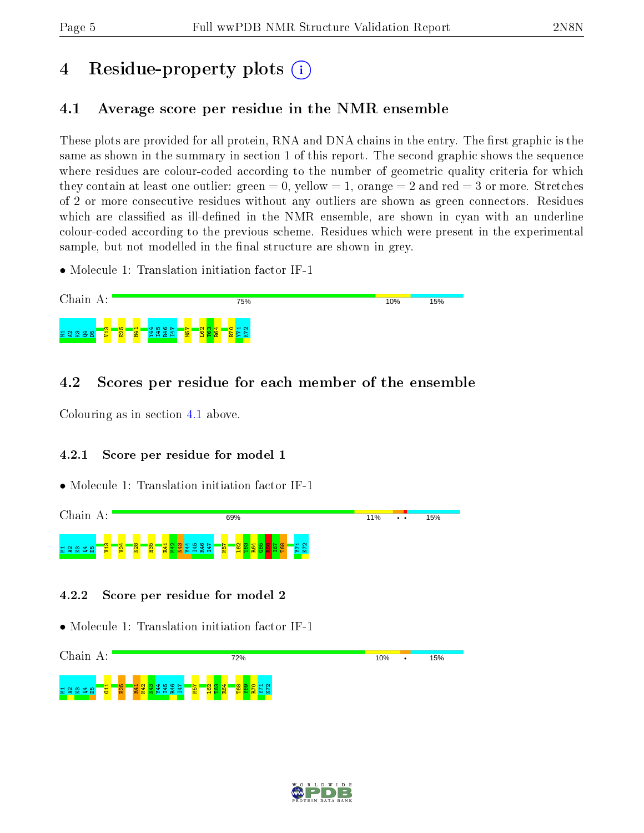# 4 Residue-property plots  $\binom{1}{1}$

## <span id="page-4-0"></span>4.1 Average score per residue in the NMR ensemble

These plots are provided for all protein, RNA and DNA chains in the entry. The first graphic is the same as shown in the summary in section 1 of this report. The second graphic shows the sequence where residues are colour-coded according to the number of geometric quality criteria for which they contain at least one outlier: green  $= 0$ , yellow  $= 1$ , orange  $= 2$  and red  $= 3$  or more. Stretches of 2 or more consecutive residues without any outliers are shown as green connectors. Residues which are classified as ill-defined in the NMR ensemble, are shown in cyan with an underline colour-coded according to the previous scheme. Residues which were present in the experimental sample, but not modelled in the final structure are shown in grey.

• Molecule 1: Translation initiation factor IF-1



## 4.2 Scores per residue for each member of the ensemble

Colouring as in section [4.1](#page-4-0) above.

### 4.2.1 Score per residue for model 1

• Molecule 1: Translation initiation factor IF-1





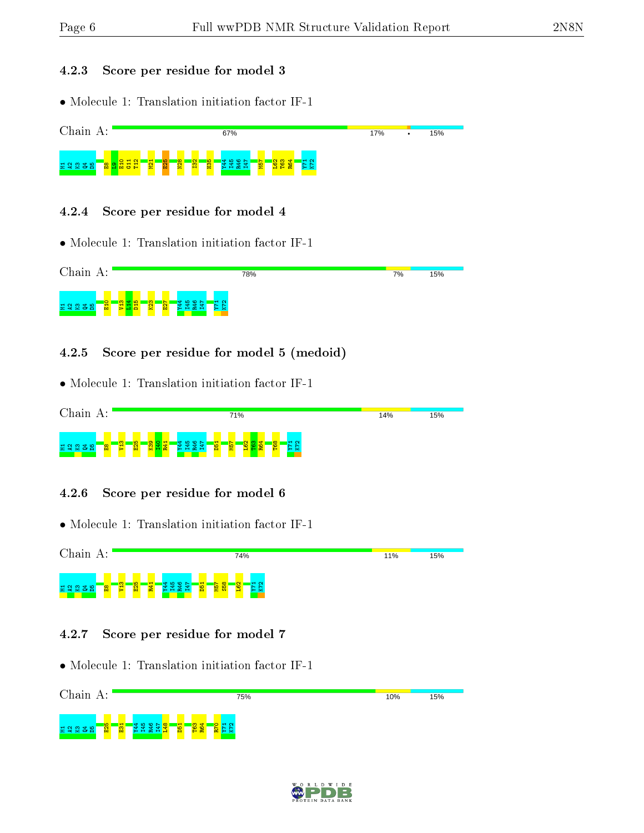#### 4.2.3 Score per residue for model 3

• Molecule 1: Translation initiation factor IF-1



#### 4.2.5 Score per residue for model 5 (medoid)

• Molecule 1: Translation initiation factor IF-1



#### 4.2.6 Score per residue for model 6

• Molecule 1: Translation initiation factor IF-1



#### 4.2.7 Score per residue for model 7



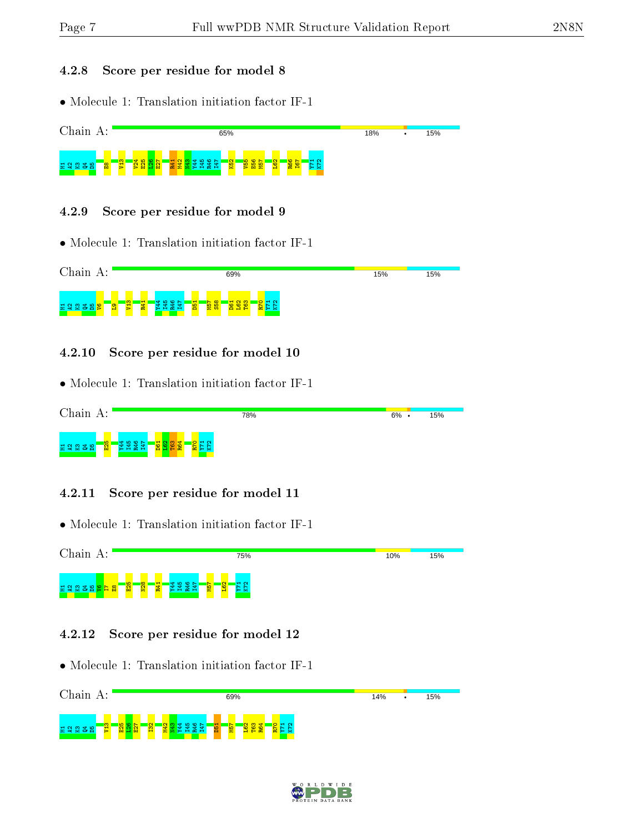#### 4.2.8 Score per residue for model 8

• Molecule 1: Translation initiation factor IF-1



#### 4.2.9 Score per residue for model 9

• Molecule 1: Translation initiation factor IF-1



#### 4.2.10 Score per residue for model 10

• Molecule 1: Translation initiation factor IF-1



#### 4.2.11 Score per residue for model 11

• Molecule 1: Translation initiation factor IF-1



#### 4.2.12 Score per residue for model 12



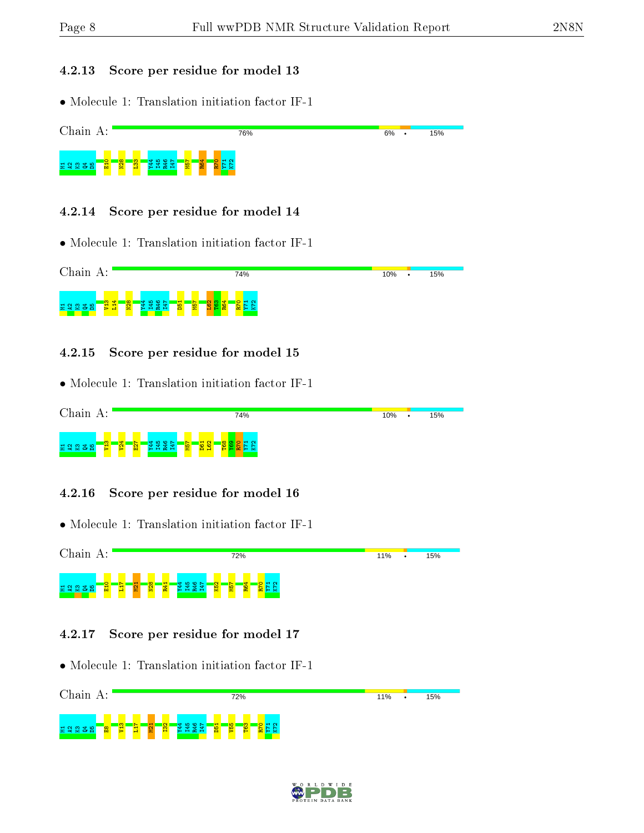#### 4.2.13 Score per residue for model 13

• Molecule 1: Translation initiation factor IF-1



#### 4.2.14 Score per residue for model 14

• Molecule 1: Translation initiation factor IF-1



#### 4.2.15 Score per residue for model 15

• Molecule 1: Translation initiation factor IF-1



#### 4.2.16 Score per residue for model 16

• Molecule 1: Translation initiation factor IF-1



#### 4.2.17 Score per residue for model 17



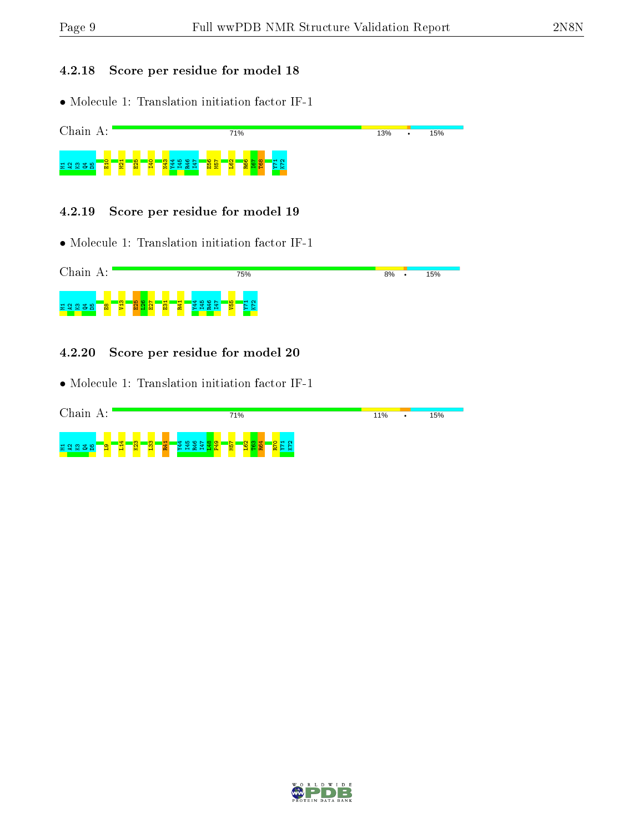#### 4.2.18 Score per residue for model 18

• Molecule 1: Translation initiation factor IF-1



#### 4.2.19 Score per residue for model 19

• Molecule 1: Translation initiation factor IF-1



#### 4.2.20 Score per residue for model 20

| Chain<br>А:            |                     |                         |   | 71% |                           | 11%<br>٠ | 15% |
|------------------------|---------------------|-------------------------|---|-----|---------------------------|----------|-----|
| 로 약 없 좀 봐<br>$\bullet$ | $\overline{a}$<br>m | $\frac{1}{2}$<br>w<br>œ | ≕ | 일   | $\sim$<br><b>*ON</b><br>× |          |     |

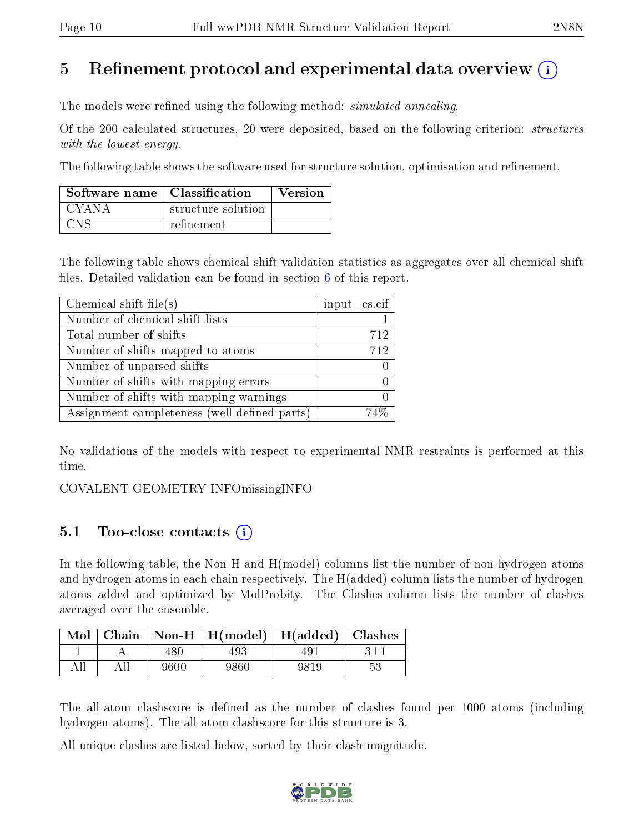## 5 Refinement protocol and experimental data overview  $\binom{1}{k}$

The models were refined using the following method: *simulated annealing*.

Of the 200 calculated structures, 20 were deposited, based on the following criterion: structures with the lowest energy.

The following table shows the software used for structure solution, optimisation and refinement.

| Software name   Classification |                    | <b>Version</b> |
|--------------------------------|--------------------|----------------|
| CYANA                          | structure solution |                |
| CNe                            | refinement         |                |

The following table shows chemical shift validation statistics as aggregates over all chemical shift files. Detailed validation can be found in section  $6$  of this report.

| Chemical shift file(s)                       | input cs.cif |
|----------------------------------------------|--------------|
| Number of chemical shift lists               |              |
| Total number of shifts                       | 712          |
| Number of shifts mapped to atoms             | 712          |
| Number of unparsed shifts                    |              |
| Number of shifts with mapping errors         |              |
| Number of shifts with mapping warnings       |              |
| Assignment completeness (well-defined parts) |              |

No validations of the models with respect to experimental NMR restraints is performed at this time.

COVALENT-GEOMETRY INFOmissingINFO

## 5.1 Too-close contacts (i)

In the following table, the Non-H and H(model) columns list the number of non-hydrogen atoms and hydrogen atoms in each chain respectively. The H(added) column lists the number of hydrogen atoms added and optimized by MolProbity. The Clashes column lists the number of clashes averaged over the ensemble.

|     |      | $\boxed{\text{Mol}$ Chain   Non-H   H(model)   H(added)   Clashes |      |    |
|-----|------|-------------------------------------------------------------------|------|----|
|     | 480. | 493                                                               | 491  |    |
| All | 9600 | 9860                                                              | 9819 | 53 |

The all-atom clashscore is defined as the number of clashes found per 1000 atoms (including hydrogen atoms). The all-atom clashscore for this structure is 3.

All unique clashes are listed below, sorted by their clash magnitude.

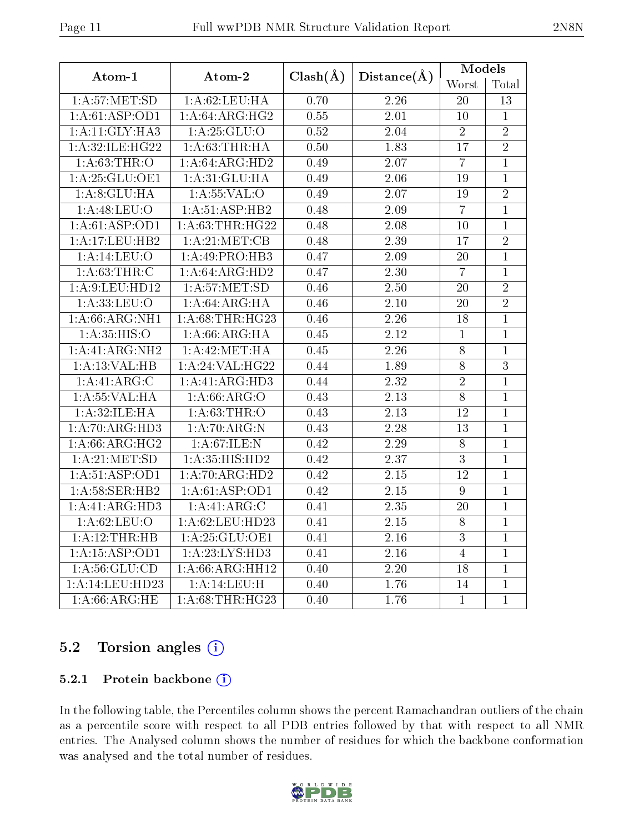| Atom-1            | Atom-2                              | $Clash(\AA)$ | $Distance(\AA)$   | Models           |                |  |
|-------------------|-------------------------------------|--------------|-------------------|------------------|----------------|--|
|                   |                                     |              |                   | Worst            | Total          |  |
| 1: A:57: MET:SD   | 1:A:62:LEU:HA                       | 0.70         | 2.26              | 20               | 13             |  |
| 1:A:61:ASP:OD1    | 1: A:64: ARG: HG2                   | 0.55         | 2.01              | 10               | $\mathbf{1}$   |  |
| 1:A:11:GLY:HA3    | 1: A: 25: GLU:O                     | 0.52         | 2.04              | $\overline{2}$   | $\overline{2}$ |  |
| 1:A:32:ILE:HG22   | 1: A:63:THR:HA                      | 0.50         | 1.83              | 17               | $\overline{2}$ |  |
| 1: A:63:THR:O     | 1:A:64:ARG:HD2                      | 0.49         | 2.07              | $\overline{7}$   | $\mathbf{1}$   |  |
| 1: A:25:GLU:OE1   | 1: A:31: GLU: HA                    | 0.49         | 2.06              | 19               | $\mathbf{1}$   |  |
| 1:A:8:GLU:HA      | 1: A: 55: VAL: O                    | 0.49         | 2.07              | 19               | $\overline{2}$ |  |
| 1:A:48:LEU:O      | 1:A:51:ASP:HB2                      | 0.48         | 2.09              | $\overline{7}$   | $\mathbf{1}$   |  |
| 1:A:61:ASP:OD1    | 1: A:63:THR:HG22                    | 0.48         | 2.08              | 10               | $\mathbf{1}$   |  |
| 1:A:17:LEU:HB2    | 1: A:21: MET:CB                     | 0.48         | 2.39              | 17               | $\overline{2}$ |  |
| 1:A:14:LEU:O      | 1:A:49:PRO:HB3                      | 0.47         | 2.09              | 20               | $\mathbf{1}$   |  |
| 1: A:63:THR:C     | 1:A:64:ARG:HD2                      | 0.47         | $\overline{2.30}$ | $\overline{7}$   | $\mathbf{1}$   |  |
| 1:A:9:LEU:HD12    | $1: A:57: \overline{\text{MET:SD}}$ | 0.46         | 2.50              | 20               | $\overline{2}$ |  |
| 1: A: 33: LEU: O  | 1:A:64:ARG:HA                       | 0.46         | $2.10\,$          | 20               | $\overline{2}$ |  |
| 1: A:66: ARG: NH1 | 1:A:68:THR:HG23                     | 0.46         | 2.26              | 18               | $\overline{1}$ |  |
| 1: A:35: HIS:O    | 1:A:66:ARG:HA                       | 0.45         | 2.12              | $\mathbf{1}$     | $\mathbf{1}$   |  |
| 1:A:41:ARG:NH2    | 1:A:42:MET:HA                       | 0.45         | $\overline{2.26}$ | $\overline{8}$   | $\mathbf{1}$   |  |
| 1:A:13:VAL:HB     | 1: A:24:VAL:HG22                    | 0.44         | 1.89              | 8                | 3              |  |
| 1:A:41:ARG:C      | 1:A:41:ARG:HD3                      | 0.44         | $\overline{2.32}$ | $\overline{2}$   | $\overline{1}$ |  |
| 1: A: 55: VAL:HA  | 1:A:66:ARG:O                        | 0.43         | 2.13              | $\overline{8}$   | $\mathbf{1}$   |  |
| 1:A:32:ILE:HA     | 1:A:63:THR:O                        | 0.43         | $\overline{2.13}$ | 12               | $\mathbf{1}$   |  |
| 1:A:70:ARG:HD3    | 1:A:70:ARG:N                        | 0.43         | 2.28              | 13               | $\mathbf{1}$   |  |
| 1: A:66: ARG: HG2 | 1: A:67:ILE:N                       | 0.42         | $\overline{2.29}$ | 8                | $\mathbf{1}$   |  |
| 1: A:21: MET:SD   | 1: A:35: HIS: HD2                   | 0.42         | $\overline{2.37}$ | $\overline{3}$   | $\mathbf{1}$   |  |
| 1: A:51: ASP:OD1  | 1:A:70:ARG:HD2                      | 0.42         | 2.15              | 12               | $\overline{1}$ |  |
| 1: A:58: SER: HB2 | 1:A:61:ASP:OD1                      | 0.42         | 2.15              | $\boldsymbol{9}$ | $\mathbf{1}$   |  |
| 1:A:41:ARG:HD3    | 1:A:41:ARG:C                        | 0.41         | $\overline{2.35}$ | 20               | $\mathbf{1}$   |  |
| 1: A:62:LEU:O     | 1:A:62:LEU:HD23                     | 0.41         | 2.15              | 8                | $\mathbf{1}$   |  |
| 1:A:12:THR:HB     | 1: A:25: GLU:OE1                    | 0.41         | $\overline{2.16}$ | $\overline{3}$   | $\mathbf{1}$   |  |
| 1:A:15:ASP:OD1    | 1:A:23:LYS:HD3                      | 0.41         | 2.16              | $\overline{4}$   | $\mathbf{1}$   |  |
| 1: A:56: GLU:CD   | $1:A:66:A\overline{RG:HH12}$        | 0.40         | 2.20              | 18               | $\mathbf{1}$   |  |
| 1:A:14:LEU:HD23   | 1:A:14:LEU:H                        | 0.40         | 1.76              | 14               | $\mathbf{1}$   |  |
| 1: A:66:ARG:HE    | 1: A:68:THR:HG23                    | 0.40         | 1.76              | $\mathbf{1}$     | $\mathbf{1}$   |  |

## $5.2$  Torsion angles  $(i)$

### 5.2.1 Protein backbone (i)

In the following table, the Percentiles column shows the percent Ramachandran outliers of the chain as a percentile score with respect to all PDB entries followed by that with respect to all NMR entries. The Analysed column shows the number of residues for which the backbone conformation was analysed and the total number of residues.

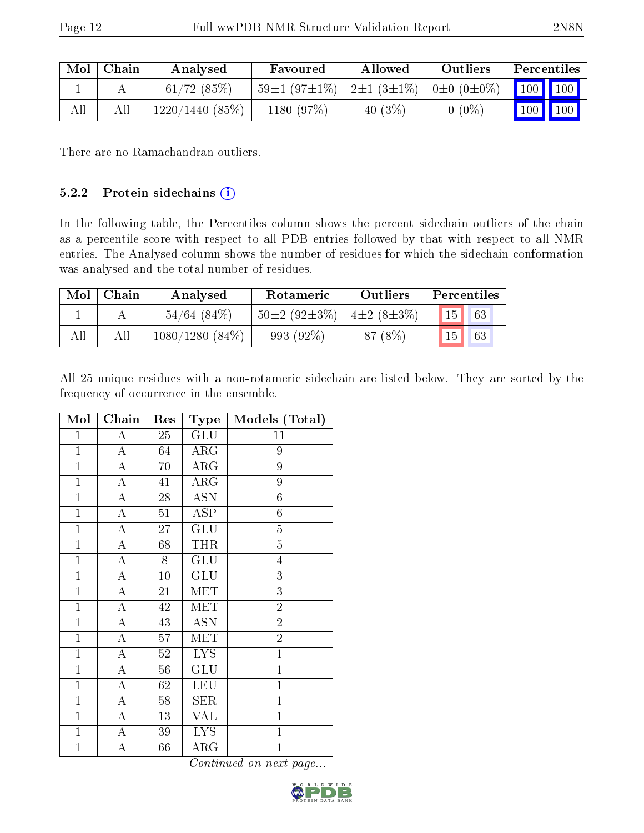| Mol | Chain | Analysed       | Favoured                      | Allowed                              | Outliers | Percentiles                  |  |
|-----|-------|----------------|-------------------------------|--------------------------------------|----------|------------------------------|--|
|     |       | 61/72(85%)     | $\pm 59 \pm 1 (97 \pm 1\%) +$ | $ 2\pm 1(3\pm 1\%) 0\pm 0(0\pm 0\%)$ |          | 100    100                   |  |
| All |       | 1220/1440(85%) | 1180 (97%)                    | 40 $(3\%)$                           | $0(0\%)$ | $\mid$ 100 $\mid$ 100 $\mid$ |  |

There are no Ramachandran outliers.

#### 5.2.2 Protein sidechains (i)

In the following table, the Percentiles column shows the percent sidechain outliers of the chain as a percentile score with respect to all PDB entries followed by that with respect to all NMR entries. The Analysed column shows the number of residues for which the sidechain conformation was analysed and the total number of residues.

| Mol | Chain | Analysed          | Rotameric          | <b>Outliers</b>  | Percentiles |
|-----|-------|-------------------|--------------------|------------------|-------------|
|     |       | $54/64$ (84\%)    | $50\pm2(92\pm3\%)$ | $4\pm2(8\pm3\%)$ | 15<br>63    |
| All | All   | $1080/1280(84\%)$ | 993 (92%)          | 87 (8\%)         | 15<br>63    |

All 25 unique residues with a non-rotameric sidechain are listed below. They are sorted by the frequency of occurrence in the ensemble.

| Mol            | Chain              | Res    | <b>Type</b>               | Models (Total) |
|----------------|--------------------|--------|---------------------------|----------------|
| $\mathbf{1}$   | A                  | 25     | GLU                       | 11             |
| $\mathbf{1}$   | $\overline{A}$     | 64     | $\rm{ARG}$                | 9              |
| $\mathbf{1}$   | $\overline{\rm A}$ | 70     | $\rm{ARG}$                | $\overline{9}$ |
| $\mathbf{1}$   | A                  | 41     | $\rm{ARG}$                | 9              |
| $\mathbf{1}$   | $\boldsymbol{A}$   | 28     | <b>ASN</b>                | $\overline{6}$ |
| $\mathbf{1}$   | $\overline{\rm A}$ | 51     | <b>ASP</b>                | $\sqrt{6}$     |
| $\mathbf{1}$   | A                  | 27     | GLU                       | $\overline{5}$ |
| $\overline{1}$ | $\overline{\rm A}$ | 68     | THR                       | $\overline{5}$ |
| $\mathbf{1}$   | $\overline{\rm A}$ | 8      | GLU                       | $\overline{4}$ |
| $\mathbf{1}$   | $\overline{\rm A}$ | 10     | $\overline{\mathrm{GLU}}$ | $\overline{3}$ |
| $\overline{1}$ | $\overline{\rm A}$ | 21     | MET                       | $\overline{3}$ |
| $\mathbf{1}$   | $\overline{\rm A}$ | 42     | <b>MET</b>                | $\overline{2}$ |
| $\mathbf{1}$   | A                  | 43     | <b>ASN</b>                | $\overline{2}$ |
| $\mathbf{1}$   | A                  | 57     | MET                       | $\overline{2}$ |
| $\mathbf{1}$   | $\boldsymbol{A}$   | $52\,$ | <b>LYS</b>                | $\mathbf{1}$   |
| $\overline{1}$ | $\overline{A}$     | 56     | <b>GLU</b>                | $\overline{1}$ |
| $\mathbf{1}$   | $\boldsymbol{A}$   | 62     | <b>LEU</b>                | $\mathbf{1}$   |
| $\mathbf{1}$   | A                  | 58     | <b>SER</b>                | $\mathbf{1}$   |
| $\overline{1}$ | A                  | 13     | <b>VAL</b>                | $\overline{1}$ |
| $\mathbf{1}$   | A                  | 39     | $\overline{\text{LYS}}$   | $\mathbf{1}$   |
| $\mathbf{1}$   | A                  | 66     | ${\rm ARG}$               | $\mathbf 1$    |

Continued on next page...

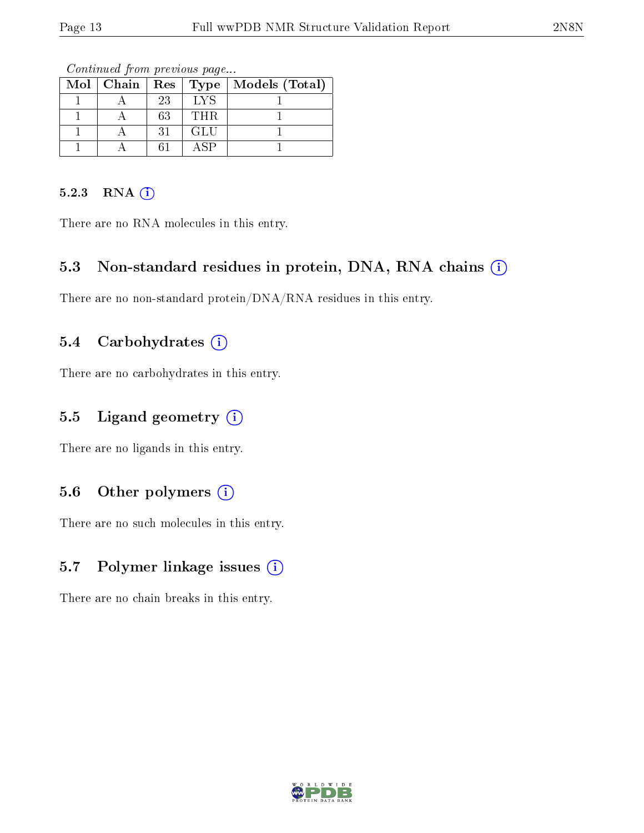| $Mol$   Chain |    | Rec   Type | Models (Total) |
|---------------|----|------------|----------------|
|               | 23 | <b>IYS</b> |                |
|               | 63 | THR.       |                |
|               | 31 | GLU        |                |
|               |    | 4 SP       |                |

Continued from previous page...

#### 5.2.3 RNA (i)

There are no RNA molecules in this entry.

### 5.3 Non-standard residues in protein, DNA, RNA chains (i)

There are no non-standard protein/DNA/RNA residues in this entry.

#### 5.4 Carbohydrates  $(i)$

There are no carbohydrates in this entry.

### 5.5 Ligand geometry  $(i)$

There are no ligands in this entry.

### 5.6 [O](https://www.wwpdb.org/validation/2017/NMRValidationReportHelp#nonstandard_residues_and_ligands)ther polymers  $(i)$

There are no such molecules in this entry.

### 5.7 Polymer linkage issues (i)

There are no chain breaks in this entry.

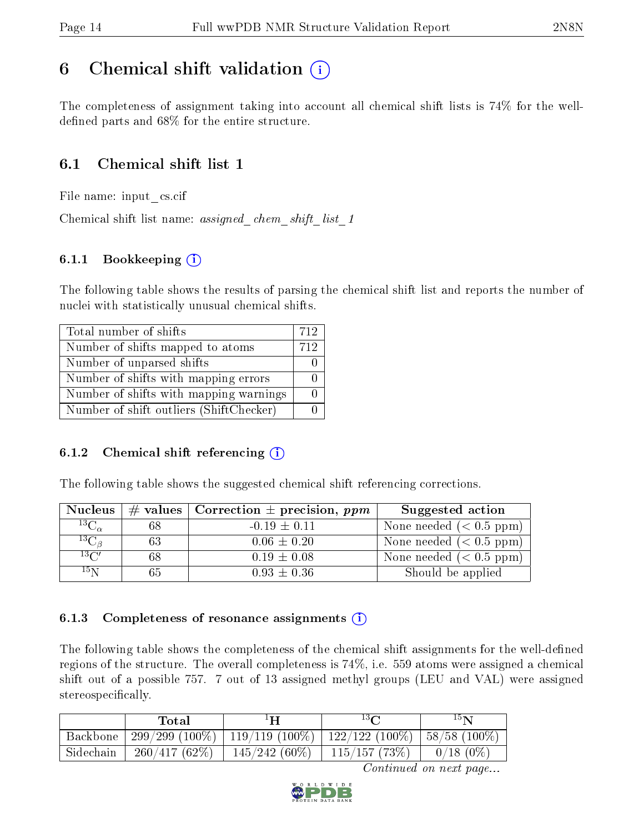## <span id="page-13-0"></span>6 Chemical shift validation  $\binom{1}{k}$

The completeness of assignment taking into account all chemical shift lists is 74% for the welldefined parts and  $68\%$  for the entire structure.

## 6.1 Chemical shift list 1

File name: input\_cs.cif

Chemical shift list name: assigned chem shift list 1

### 6.1.1 Bookkeeping (i)

The following table shows the results of parsing the chemical shift list and reports the number of nuclei with statistically unusual chemical shifts.

| Total number of shifts                  | 712 |
|-----------------------------------------|-----|
| Number of shifts mapped to atoms        | 712 |
| Number of unparsed shifts               |     |
| Number of shifts with mapping errors    |     |
| Number of shifts with mapping warnings  |     |
| Number of shift outliers (ShiftChecker) |     |

#### 6.1.2 Chemical shift referencing  $(i)$

The following table shows the suggested chemical shift referencing corrections.

| <b>Nucleus</b>      |    | $\#$ values   Correction $\pm$ precision, ppm | Suggested action          |
|---------------------|----|-----------------------------------------------|---------------------------|
| ${}^{13}C_{\alpha}$ | 68 | $-0.19 \pm 0.11$                              | None needed $(0.5 ppm)$   |
| $^{13}C_{\beta}$    | 63 | $0.06 \pm 0.20$                               | None needed $(< 0.5$ ppm) |
| $13\text{C}$        | 68 | $0.19 \pm 0.08$                               | None needed $(0.5 ppm)$   |
| $15\,\mathrm{N}$    | 65 | $0.93 \pm 0.36$                               | Should be applied         |

#### 6.1.3 Completeness of resonance assignments  $(i)$

The following table shows the completeness of the chemical shift assignments for the well-defined regions of the structure. The overall completeness is 74%, i.e. 559 atoms were assigned a chemical shift out of a possible 757. 7 out of 13 assigned methyl groups (LEU and VAL) were assigned stereospecifically.

|           | Total        |                                                                 | 13 <sub>0</sub> | $15\,$ N    |
|-----------|--------------|-----------------------------------------------------------------|-----------------|-------------|
| Backbone  |              | $-299/299(100\%)$   119/119(100%)   122/122(100%)   58/58(100%) |                 |             |
| Sidechain | 260/417(62%) | $145/242(60\%)$                                                 | 115/157(73%)    | $0/18(0\%)$ |

Continued on next page...